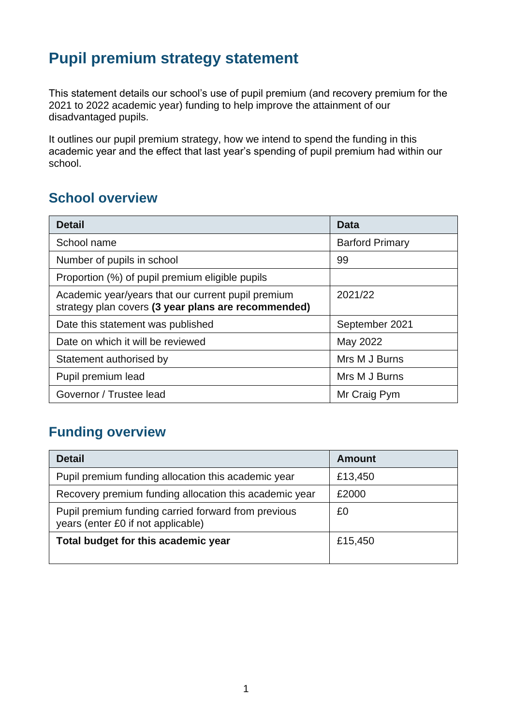# **Pupil premium strategy statement**

This statement details our school's use of pupil premium (and recovery premium for the 2021 to 2022 academic year) funding to help improve the attainment of our disadvantaged pupils.

It outlines our pupil premium strategy, how we intend to spend the funding in this academic year and the effect that last year's spending of pupil premium had within our school.

## **School overview**

| <b>Detail</b>                                                                                             | <b>Data</b>            |
|-----------------------------------------------------------------------------------------------------------|------------------------|
| School name                                                                                               | <b>Barford Primary</b> |
| Number of pupils in school                                                                                | 99                     |
| Proportion (%) of pupil premium eligible pupils                                                           |                        |
| Academic year/years that our current pupil premium<br>strategy plan covers (3 year plans are recommended) | 2021/22                |
| Date this statement was published                                                                         | September 2021         |
| Date on which it will be reviewed                                                                         | May 2022               |
| Statement authorised by                                                                                   | Mrs M J Burns          |
| Pupil premium lead                                                                                        | Mrs M J Burns          |
| Governor / Trustee lead                                                                                   | Mr Craig Pym           |

## **Funding overview**

| <b>Detail</b>                                                                             | <b>Amount</b> |
|-------------------------------------------------------------------------------------------|---------------|
| Pupil premium funding allocation this academic year                                       | £13,450       |
| Recovery premium funding allocation this academic year                                    | £2000         |
| Pupil premium funding carried forward from previous<br>years (enter £0 if not applicable) | £0            |
| Total budget for this academic year                                                       | £15,450       |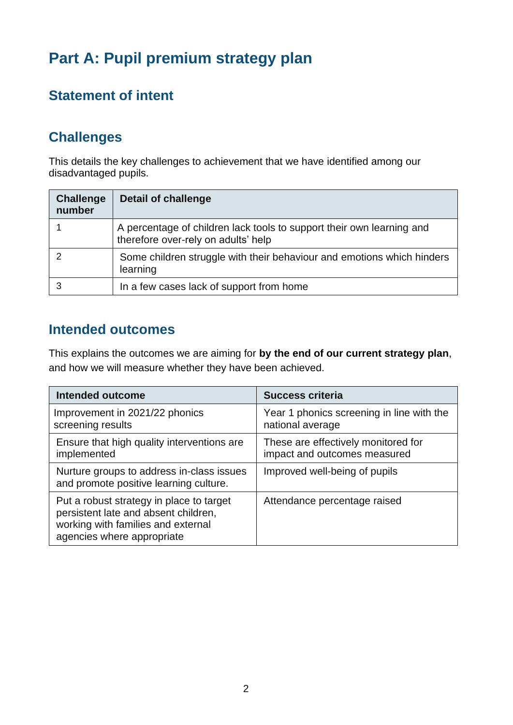# **Part A: Pupil premium strategy plan**

# **Statement of intent**

# **Challenges**

This details the key challenges to achievement that we have identified among our disadvantaged pupils.

| <b>Challenge</b><br>number | <b>Detail of challenge</b>                                                                                   |
|----------------------------|--------------------------------------------------------------------------------------------------------------|
|                            | A percentage of children lack tools to support their own learning and<br>therefore over-rely on adults' help |
|                            | Some children struggle with their behaviour and emotions which hinders<br>learning                           |
|                            | In a few cases lack of support from home                                                                     |

### **Intended outcomes**

This explains the outcomes we are aiming for **by the end of our current strategy plan**, and how we will measure whether they have been achieved.

| <b>Intended outcome</b>                                                                                                                              | <b>Success criteria</b>                                             |
|------------------------------------------------------------------------------------------------------------------------------------------------------|---------------------------------------------------------------------|
| Improvement in 2021/22 phonics<br>screening results                                                                                                  | Year 1 phonics screening in line with the<br>national average       |
| Ensure that high quality interventions are<br>implemented                                                                                            | These are effectively monitored for<br>impact and outcomes measured |
| Nurture groups to address in-class issues<br>and promote positive learning culture.                                                                  | Improved well-being of pupils                                       |
| Put a robust strategy in place to target<br>persistent late and absent children,<br>working with families and external<br>agencies where appropriate | Attendance percentage raised                                        |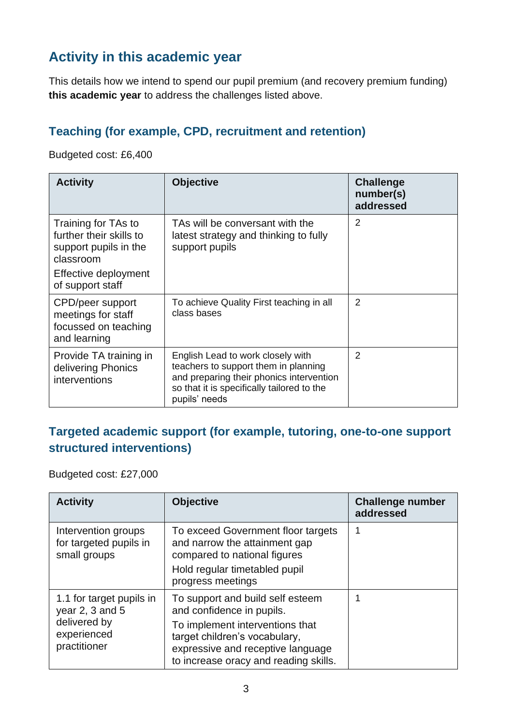# **Activity in this academic year**

This details how we intend to spend our pupil premium (and recovery premium funding) **this academic year** to address the challenges listed above.

#### **Teaching (for example, CPD, recruitment and retention)**

Budgeted cost: £6,400

| <b>Activity</b>                                                                                                                  | <b>Objective</b>                                                                                                                                                                     | <b>Challenge</b><br>number(s)<br>addressed |
|----------------------------------------------------------------------------------------------------------------------------------|--------------------------------------------------------------------------------------------------------------------------------------------------------------------------------------|--------------------------------------------|
| Training for TAs to<br>further their skills to<br>support pupils in the<br>classroom<br>Effective deployment<br>of support staff | TAs will be conversant with the<br>latest strategy and thinking to fully<br>support pupils                                                                                           | $\overline{2}$                             |
| CPD/peer support<br>meetings for staff<br>focussed on teaching<br>and learning                                                   | To achieve Quality First teaching in all<br>class bases                                                                                                                              | $\overline{2}$                             |
| Provide TA training in<br>delivering Phonics<br>interventions                                                                    | English Lead to work closely with<br>teachers to support them in planning<br>and preparing their phonics intervention<br>so that it is specifically tailored to the<br>pupils' needs | $\overline{2}$                             |

#### **Targeted academic support (for example, tutoring, one-to-one support structured interventions)**

Budgeted cost: £27,000

| <b>Activity</b>                                                                            | <b>Objective</b>                                                                                                                                                                                                | <b>Challenge number</b><br>addressed |
|--------------------------------------------------------------------------------------------|-----------------------------------------------------------------------------------------------------------------------------------------------------------------------------------------------------------------|--------------------------------------|
| Intervention groups<br>for targeted pupils in<br>small groups                              | To exceed Government floor targets<br>and narrow the attainment gap<br>compared to national figures<br>Hold regular timetabled pupil<br>progress meetings                                                       |                                      |
| 1.1 for target pupils in<br>year 2, 3 and 5<br>delivered by<br>experienced<br>practitioner | To support and build self esteem<br>and confidence in pupils.<br>To implement interventions that<br>target children's vocabulary,<br>expressive and receptive language<br>to increase oracy and reading skills. | 1                                    |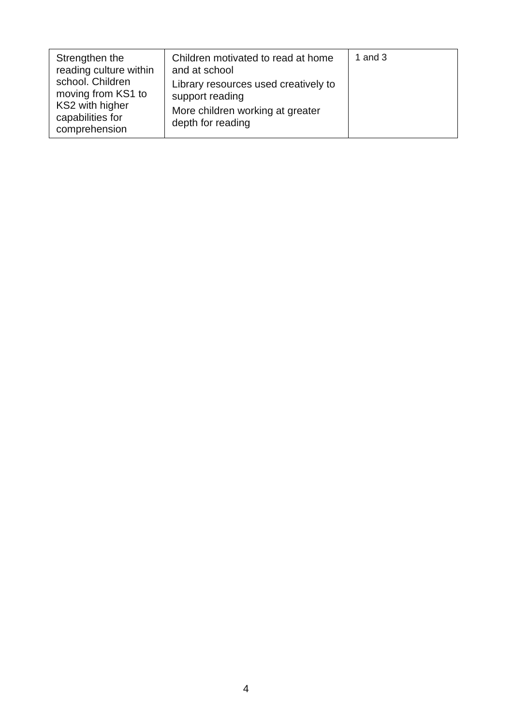| Strengthen the<br>reading culture within                                                       | Children motivated to read at home<br>and at school                                                              | 1 and $3$ |
|------------------------------------------------------------------------------------------------|------------------------------------------------------------------------------------------------------------------|-----------|
| school. Children<br>moving from KS1 to<br>KS2 with higher<br>capabilities for<br>comprehension | Library resources used creatively to<br>support reading<br>More children working at greater<br>depth for reading |           |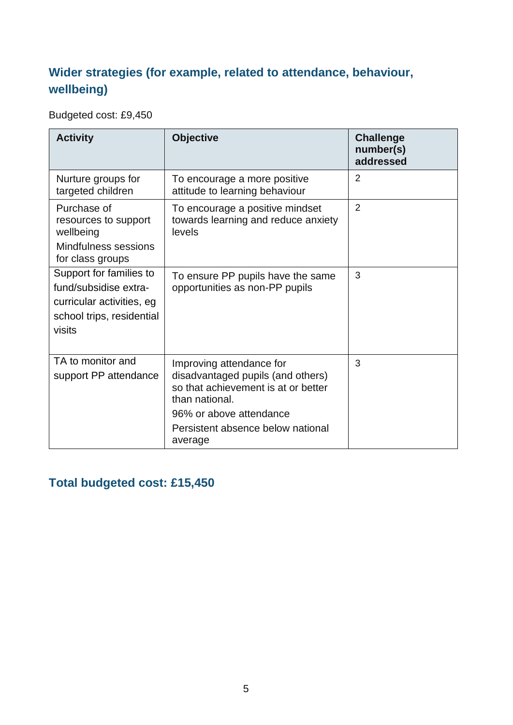## **Wider strategies (for example, related to attendance, behaviour, wellbeing)**

Budgeted cost: £9,450

| <b>Activity</b>                                                                                                      | <b>Objective</b>                                                                                                                                                                                  | <b>Challenge</b><br>number(s)<br>addressed |
|----------------------------------------------------------------------------------------------------------------------|---------------------------------------------------------------------------------------------------------------------------------------------------------------------------------------------------|--------------------------------------------|
| Nurture groups for<br>targeted children                                                                              | To encourage a more positive<br>attitude to learning behaviour                                                                                                                                    | 2                                          |
| Purchase of<br>resources to support<br>wellbeing<br>Mindfulness sessions<br>for class groups                         | To encourage a positive mindset<br>towards learning and reduce anxiety<br>levels                                                                                                                  | 2                                          |
| Support for families to<br>fund/subsidise extra-<br>curricular activities, eg<br>school trips, residential<br>visits | To ensure PP pupils have the same<br>opportunities as non-PP pupils                                                                                                                               | 3                                          |
| TA to monitor and<br>support PP attendance                                                                           | Improving attendance for<br>disadvantaged pupils (and others)<br>so that achievement is at or better<br>than national.<br>96% or above attendance<br>Persistent absence below national<br>average | 3                                          |

## **Total budgeted cost: £15,450**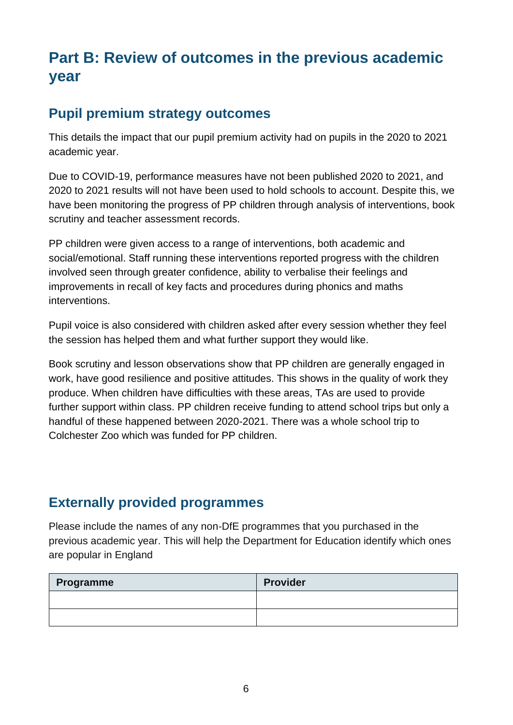# **Part B: Review of outcomes in the previous academic year**

### **Pupil premium strategy outcomes**

This details the impact that our pupil premium activity had on pupils in the 2020 to 2021 academic year.

Due to COVID-19, performance measures have not been published 2020 to 2021, and 2020 to 2021 results will not have been used to hold schools to account. Despite this, we have been monitoring the progress of PP children through analysis of interventions, book scrutiny and teacher assessment records.

PP children were given access to a range of interventions, both academic and social/emotional. Staff running these interventions reported progress with the children involved seen through greater confidence, ability to verbalise their feelings and improvements in recall of key facts and procedures during phonics and maths interventions.

Pupil voice is also considered with children asked after every session whether they feel the session has helped them and what further support they would like.

Book scrutiny and lesson observations show that PP children are generally engaged in work, have good resilience and positive attitudes. This shows in the quality of work they produce. When children have difficulties with these areas, TAs are used to provide further support within class. PP children receive funding to attend school trips but only a handful of these happened between 2020-2021. There was a whole school trip to Colchester Zoo which was funded for PP children.

### **Externally provided programmes**

Please include the names of any non-DfE programmes that you purchased in the previous academic year. This will help the Department for Education identify which ones are popular in England

| Programme | <b>Provider</b> |
|-----------|-----------------|
|           |                 |
|           |                 |